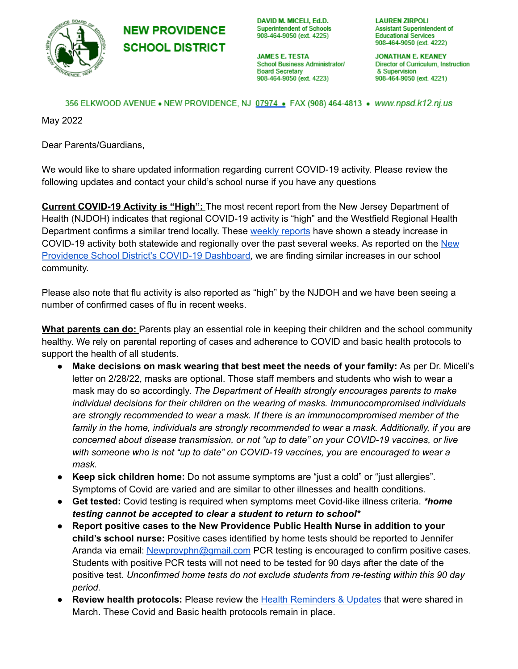

**NEW PROVIDENCE SCHOOL DISTRICT**  DAVID M. MICELI, Ed.D. **Superintendent of Schools** 908-464-9050 (ext. 4225)

**JAMES E. TESTA** School Business Administrator/ **Board Secretary** 908-464-9050 (ext. 4223)

**LAUREN ZIRPOLI** Assistant Superintendent of **Educational Services** 908-464-9050 (ext. 4222)

**JONATHAN E. KEANEY** Director of Curriculum, Instruction & Supervision 908-464-9050 (ext. 4221)

356 ELKWOOD AVENUE • NEW PROVIDENCE, NJ 07974 · FAX (908) 464-4813 · www.npsd.k12.nj.us

May 2022

Dear Parents/Guardians,

We would like to share updated information regarding current COVID-19 activity. Please review the following updates and contact your child's school nurse if you have any questions

**Current COVID-19 Activity is "High":** The most recent report from the New Jersey Department of Health (NJDOH) indicates that regional COVID-19 activity is "high" and the Westfield Regional Health Department confirms a similar trend locally. These weekly [reports](https://www.nj.gov/health/cd/statistics/covid/) have shown a steady increase in COVID-19 activity both statewide and regionally over the past several weeks. As reported on the [New](https://sites.google.com/npsdnj.org/npsdcovid-19dashboard/home) [Providence](https://sites.google.com/npsdnj.org/npsdcovid-19dashboard/home) School District's COVID-19 Dashboard, we are finding similar increases in our school community.

Please also note that flu activity is also reported as "high" by the NJDOH and we have been seeing a number of confirmed cases of flu in recent weeks.

**What parents can do:** Parents play an essential role in keeping their children and the school community healthy. We rely on parental reporting of cases and adherence to COVID and basic health protocols to support the health of all students.

- **Make decisions on mask wearing that best meet the needs of your family:** As per Dr. Miceli's letter on 2/28/22, masks are optional. Those staff members and students who wish to wear a mask may do so accordingly. *The Department of Health strongly encourages parents to make individual decisions for their children on the wearing of masks. Immunocompromised individuals are strongly recommended to wear a mask. If there is an immunocompromised member of the family in the home, individuals are strongly recommended to wear a mask. Additionally, if you are concerned about disease transmission, or not "up to date" on your COVID-19 vaccines, or live with someone who is not "up to date" on COVID-19 vaccines, you are encouraged to wear a mask.*
- **● Keep sick children home:** Do not assume symptoms are "just a cold" or "just allergies". Symptoms of Covid are varied and are similar to other illnesses and health conditions.
- **● Get tested:** Covid testing is required when symptoms meet Covid-like illness criteria. *\*home testing cannot be accepted to clear a student to return to school\**
- **● Report positive cases to the New Providence Public Health Nurse in addition to your child's school nurse:** Positive cases identified by home tests should be reported to Jennifer Aranda via email: [Newprovphn@gmail.com](mailto:Newprovphn@gmail.com) PCR testing is encouraged to confirm positive cases. Students with positive PCR tests will not need to be tested for 90 days after the date of the positive test. *Unconfirmed home tests do not exclude students from re-testing within this 90 day period.*
- **● Review health protocols:** Please review the Health [Reminders](https://drive.google.com/file/d/1MxVmhal2Csho2ph815_GK4Svm88-fV3h/view) & Updates that were shared in March. These Covid and Basic health protocols remain in place.